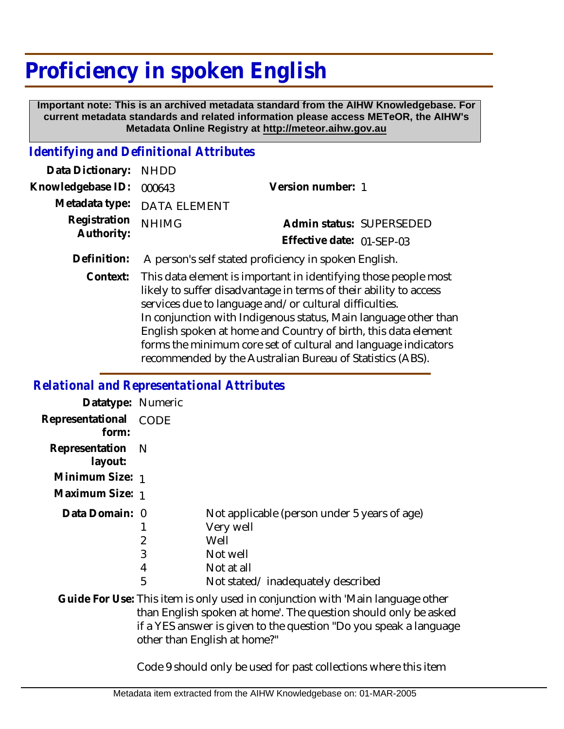## **Proficiency in spoken English**

 **Important note: This is an archived metadata standard from the AIHW Knowledgebase. For current metadata standards and related information please access METeOR, the AIHW's Metadata Online Registry at http://meteor.aihw.gov.au**

## *Identifying and Definitional Attributes*

| Data Dictionary: NHDD      |                             |                                                                                                                                                                                                                                 |  |
|----------------------------|-----------------------------|---------------------------------------------------------------------------------------------------------------------------------------------------------------------------------------------------------------------------------|--|
| Knowledgebase ID: 000643   |                             | Version number: 1                                                                                                                                                                                                               |  |
|                            | Metadata type: DATA ELEMENT |                                                                                                                                                                                                                                 |  |
| Registration<br>Authority: | <b>NHIMG</b>                | Admin status: SUPERSEDED                                                                                                                                                                                                        |  |
|                            |                             | Effective date: 01-SEP-03                                                                                                                                                                                                       |  |
|                            |                             | $\sim$ . The contract of the contract of the contract of the contract of the contract of the contract of the contract of the contract of the contract of the contract of the contract of the contract of the contract of the co |  |

- **Definition:** A person's self stated proficiency in spoken English.
	- This data element is important in identifying those people most likely to suffer disadvantage in terms of their ability to access services due to language and/or cultural difficulties. In conjunction with Indigenous status, Main language other than English spoken at home and Country of birth, this data element forms the minimum core set of cultural and language indicators recommended by the Australian Bureau of Statistics (ABS). **Context:**

## *Relational and Representational Attributes*

| Datatype: Numeric              |                               |                                                                                                                                                                                                                                                        |
|--------------------------------|-------------------------------|--------------------------------------------------------------------------------------------------------------------------------------------------------------------------------------------------------------------------------------------------------|
| Representational CODE<br>form: |                               |                                                                                                                                                                                                                                                        |
| Representation N<br>layout:    |                               |                                                                                                                                                                                                                                                        |
| Minimum Size: 1                |                               |                                                                                                                                                                                                                                                        |
| Maximum Size: 1                |                               |                                                                                                                                                                                                                                                        |
| Data Domain: 0                 | $\overline{2}$<br>3<br>4<br>5 | Not applicable (person under 5 years of age)<br>Very well<br>Well<br>Not well<br>Not at all<br>Not stated/inadequately described                                                                                                                       |
|                                |                               | Guide For Use: This item is only used in conjunction with 'Main language other<br>than English spoken at home'. The question should only be asked<br>if a YES answer is given to the question "Do you speak a language<br>other than English at home?" |

Code 9 should only be used for past collections where this item